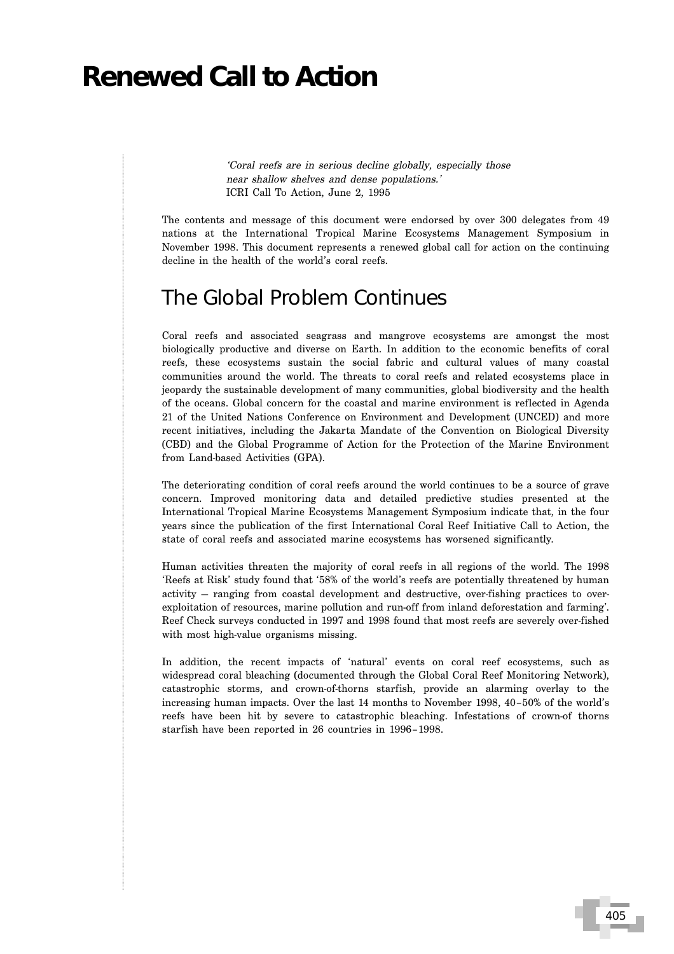# **Renewed Call to Action**

'Coral reefs are in serious decline globally, especially those near shallow shelves and dense populations.' ICRI Call To Action, June 2, 1995

The contents and message of this document were endorsed by over 300 delegates from 49 nations at the International Tropical Marine Ecosystems Management Symposium in November 1998. This document represents a renewed global call for action on the continuing decline in the health of the world's coral reefs.

## The Global Problem Continues

Coral reefs and associated seagrass and mangrove ecosystems are amongst the most biologically productive and diverse on Earth. In addition to the economic benefits of coral reefs, these ecosystems sustain the social fabric and cultural values of many coastal communities around the world. The threats to coral reefs and related ecosystems place in jeopardy the sustainable development of many communities, global biodiversity and the health of the oceans. Global concern for the coastal and marine environment is reflected in Agenda 21 of the United Nations Conference on Environment and Development (UNCED) and more recent initiatives, including the Jakarta Mandate of the Convention on Biological Diversity (CBD) and the Global Programme of Action for the Protection of the Marine Environment from Land-based Activities (GPA).

The deteriorating condition of coral reefs around the world continues to be a source of grave concern. Improved monitoring data and detailed predictive studies presented at the International Tropical Marine Ecosystems Management Symposium indicate that, in the four years since the publication of the first International Coral Reef Initiative Call to Action, the state of coral reefs and associated marine ecosystems has worsened significantly.

Human activities threaten the majority of coral reefs in all regions of the world. The 1998 'Reefs at Risk' study found that '58% of the world's reefs are potentially threatened by human activity — ranging from coastal development and destructive, over-fishing practices to overexploitation of resources, marine pollution and run-off from inland deforestation and farming'. Reef Check surveys conducted in 1997 and 1998 found that most reefs are severely over-fished with most high-value organisms missing.

In addition, the recent impacts of 'natural' events on coral reef ecosystems, such as widespread coral bleaching (documented through the Global Coral Reef Monitoring Network), catastrophic storms, and crown-of-thorns starfish, provide an alarming overlay to the increasing human impacts. Over the last 14 months to November 1998, 40–50% of the world's reefs have been hit by severe to catastrophic bleaching. Infestations of crown-of thorns starfish have been reported in 26 countries in 1996–1998.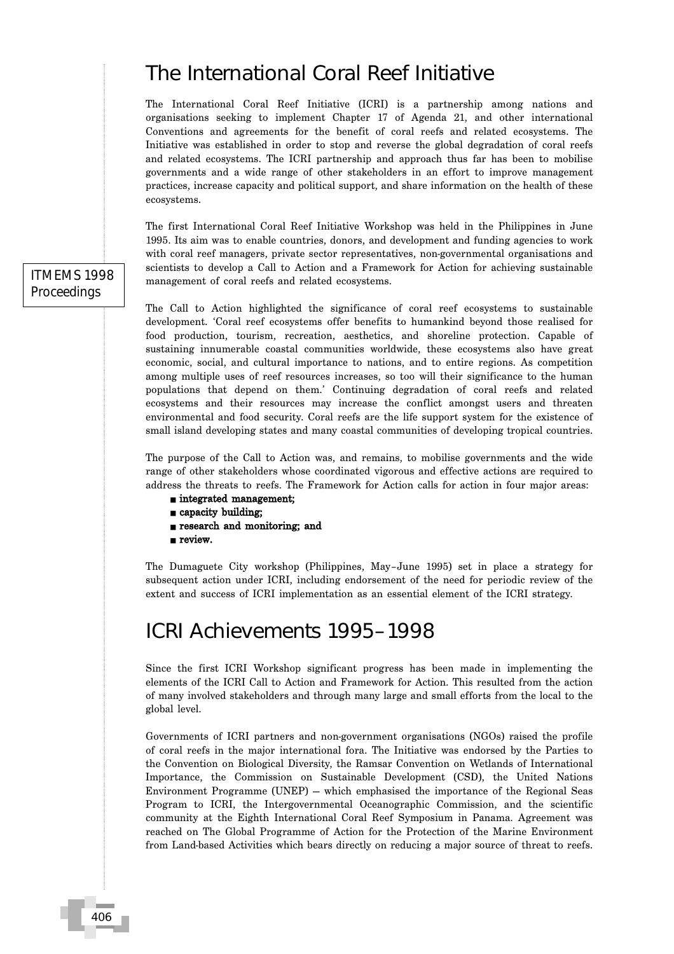## The International Coral Reef Initiative

The International Coral Reef Initiative (ICRI) is a partnership among nations and organisations seeking to implement Chapter 17 of Agenda 21, and other international Conventions and agreements for the benefit of coral reefs and related ecosystems. The Initiative was established in order to stop and reverse the global degradation of coral reefs and related ecosystems. The ICRI partnership and approach thus far has been to mobilise governments and a wide range of other stakeholders in an effort to improve management practices, increase capacity and political support, and share information on the health of these ecosystems.

The first International Coral Reef Initiative Workshop was held in the Philippines in June 1995. Its aim was to enable countries, donors, and development and funding agencies to work with coral reef managers, private sector representatives, non-governmental organisations and scientists to develop a Call to Action and a Framework for Action for achieving sustainable management of coral reefs and related ecosystems.

The Call to Action highlighted the significance of coral reef ecosystems to sustainable development. 'Coral reef ecosystems offer benefits to humankind beyond those realised for food production, tourism, recreation, aesthetics, and shoreline protection. Capable of sustaining innumerable coastal communities worldwide, these ecosystems also have great economic, social, and cultural importance to nations, and to entire regions. As competition among multiple uses of reef resources increases, so too will their significance to the human populations that depend on them.' Continuing degradation of coral reefs and related ecosystems and their resources may increase the conflict amongst users and threaten environmental and food security. Coral reefs are the life support system for the existence of small island developing states and many coastal communities of developing tropical countries.

The purpose of the Call to Action was, and remains, to mobilise governments and the wide range of other stakeholders whose coordinated vigorous and effective actions are required to address the threats to reefs. The Framework for Action calls for action in four major areas:

- integrated management;
- capacity building;
- research and monitoring; and
- review.

The Dumaguete City workshop (Philippines, May–June 1995) set in place a strategy for subsequent action under ICRI, including endorsement of the need for periodic review of the extent and success of ICRI implementation as an essential element of the ICRI strategy.

# ICRI Achievements 1995–1998

Since the first ICRI Workshop significant progress has been made in implementing the elements of the ICRI Call to Action and Framework for Action. This resulted from the action of many involved stakeholders and through many large and small efforts from the local to the global level.

Governments of ICRI partners and non-government organisations (NGOs) raised the profile of coral reefs in the major international fora. The Initiative was endorsed by the Parties to the Convention on Biological Diversity, the Ramsar Convention on Wetlands of International Importance, the Commission on Sustainable Development (CSD), the United Nations Environment Programme (UNEP) — which emphasised the importance of the Regional Seas Program to ICRI, the Intergovernmental Oceanographic Commission, and the scientific community at the Eighth International Coral Reef Symposium in Panama. Agreement was reached on The Global Programme of Action for the Protection of the Marine Environment from Land-based Activities which bears directly on reducing a major source of threat to reefs.

*ITMEMS 1998 Proceedings*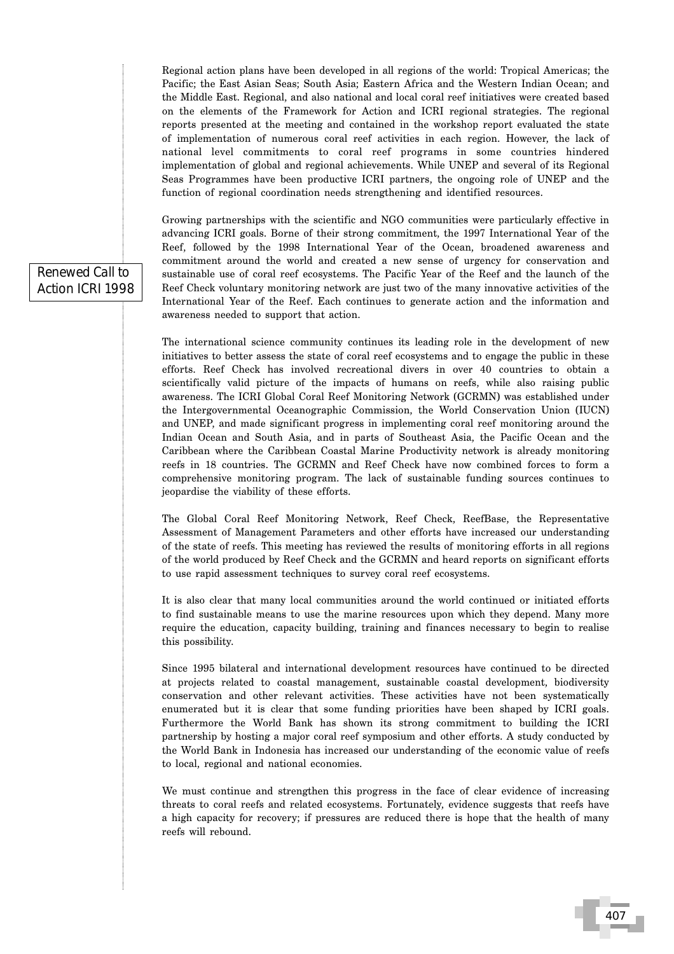Regional action plans have been developed in all regions of the world: Tropical Americas; the Pacific; the East Asian Seas; South Asia; Eastern Africa and the Western Indian Ocean; and the Middle East. Regional, and also national and local coral reef initiatives were created based on the elements of the Framework for Action and ICRI regional strategies. The regional reports presented at the meeting and contained in the workshop report evaluated the state of implementation of numerous coral reef activities in each region. However, the lack of national level commitments to coral reef programs in some countries hindered implementation of global and regional achievements. While UNEP and several of its Regional Seas Programmes have been productive ICRI partners, the ongoing role of UNEP and the function of regional coordination needs strengthening and identified resources.

Growing partnerships with the scientific and NGO communities were particularly effective in advancing ICRI goals. Borne of their strong commitment, the 1997 International Year of the Reef, followed by the 1998 International Year of the Ocean, broadened awareness and commitment around the world and created a new sense of urgency for conservation and sustainable use of coral reef ecosystems. The Pacific Year of the Reef and the launch of the Reef Check voluntary monitoring network are just two of the many innovative activities of the International Year of the Reef. Each continues to generate action and the information and awareness needed to support that action.

The international science community continues its leading role in the development of new initiatives to better assess the state of coral reef ecosystems and to engage the public in these efforts. Reef Check has involved recreational divers in over 40 countries to obtain a scientifically valid picture of the impacts of humans on reefs, while also raising public awareness. The ICRI Global Coral Reef Monitoring Network (GCRMN) was established under the Intergovernmental Oceanographic Commission, the World Conservation Union (IUCN) and UNEP, and made significant progress in implementing coral reef monitoring around the Indian Ocean and South Asia, and in parts of Southeast Asia, the Pacific Ocean and the Caribbean where the Caribbean Coastal Marine Productivity network is already monitoring reefs in 18 countries. The GCRMN and Reef Check have now combined forces to form a comprehensive monitoring program. The lack of sustainable funding sources continues to jeopardise the viability of these efforts.

The Global Coral Reef Monitoring Network, Reef Check, ReefBase, the Representative Assessment of Management Parameters and other efforts have increased our understanding of the state of reefs. This meeting has reviewed the results of monitoring efforts in all regions of the world produced by Reef Check and the GCRMN and heard reports on significant efforts to use rapid assessment techniques to survey coral reef ecosystems.

It is also clear that many local communities around the world continued or initiated efforts to find sustainable means to use the marine resources upon which they depend. Many more require the education, capacity building, training and finances necessary to begin to realise this possibility.

Since 1995 bilateral and international development resources have continued to be directed at projects related to coastal management, sustainable coastal development, biodiversity conservation and other relevant activities. These activities have not been systematically enumerated but it is clear that some funding priorities have been shaped by ICRI goals. Furthermore the World Bank has shown its strong commitment to building the ICRI partnership by hosting a major coral reef symposium and other efforts. A study conducted by the World Bank in Indonesia has increased our understanding of the economic value of reefs to local, regional and national economies.

We must continue and strengthen this progress in the face of clear evidence of increasing threats to coral reefs and related ecosystems. Fortunately, evidence suggests that reefs have a high capacity for recovery; if pressures are reduced there is hope that the health of many reefs will rebound.

### *Renewed Call to Action ICRI 1998*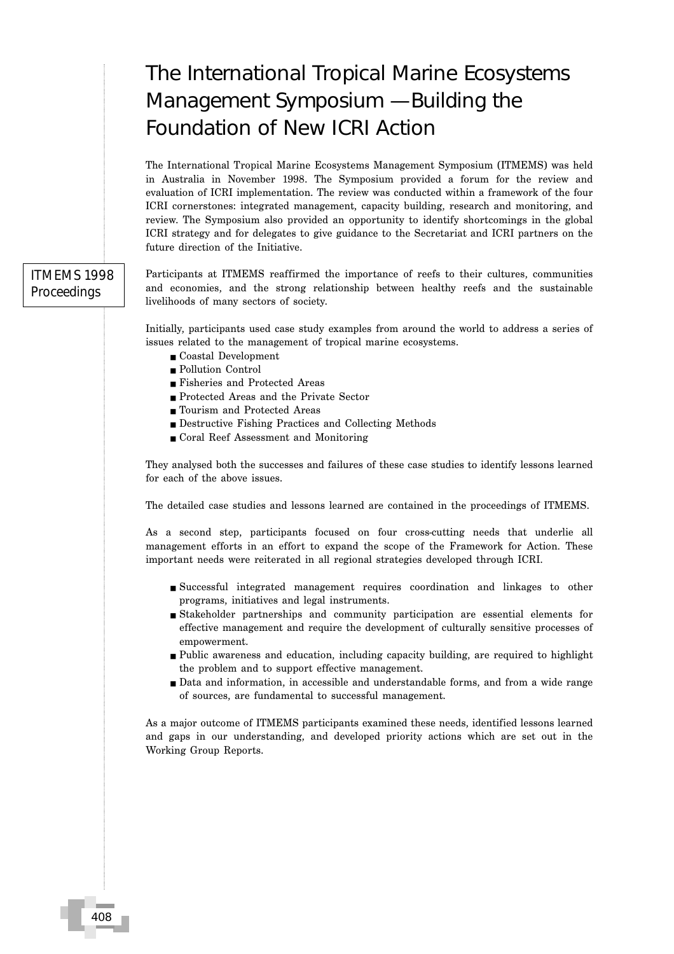# The International Tropical Marine Ecosystems Management Symposium — Building the Foundation of New ICRI Action

The International Tropical Marine Ecosystems Management Symposium (ITMEMS) was held in Australia in November 1998. The Symposium provided a forum for the review and evaluation of ICRI implementation. The review was conducted within a framework of the four ICRI cornerstones: integrated management, capacity building, research and monitoring, and review. The Symposium also provided an opportunity to identify shortcomings in the global ICRI strategy and for delegates to give guidance to the Secretariat and ICRI partners on the future direction of the Initiative.

Participants at ITMEMS reaffirmed the importance of reefs to their cultures, communities and economies, and the strong relationship between healthy reefs and the sustainable livelihoods of many sectors of society.

Initially, participants used case study examples from around the world to address a series of issues related to the management of tropical marine ecosystems.

- Coastal Development
- Pollution Control
- Fisheries and Protected Areas
- Protected Areas and the Private Sector
- Tourism and Protected Areas
- Destructive Fishing Practices and Collecting Methods
- Coral Reef Assessment and Monitoring

They analysed both the successes and failures of these case studies to identify lessons learned for each of the above issues.

The detailed case studies and lessons learned are contained in the proceedings of ITMEMS.

As a second step, participants focused on four cross-cutting needs that underlie all management efforts in an effort to expand the scope of the Framework for Action. These important needs were reiterated in all regional strategies developed through ICRI.

- Successful integrated management requires coordination and linkages to other programs, initiatives and legal instruments.
- Stakeholder partnerships and community participation are essential elements for effective management and require the development of culturally sensitive processes of empowerment.
- Public awareness and education, including capacity building, are required to highlight the problem and to support effective management.
- Data and information, in accessible and understandable forms, and from a wide range of sources, are fundamental to successful management.

As a major outcome of ITMEMS participants examined these needs, identified lessons learned and gaps in our understanding, and developed priority actions which are set out in the Working Group Reports.

*ITMEMS 1998 Proceedings*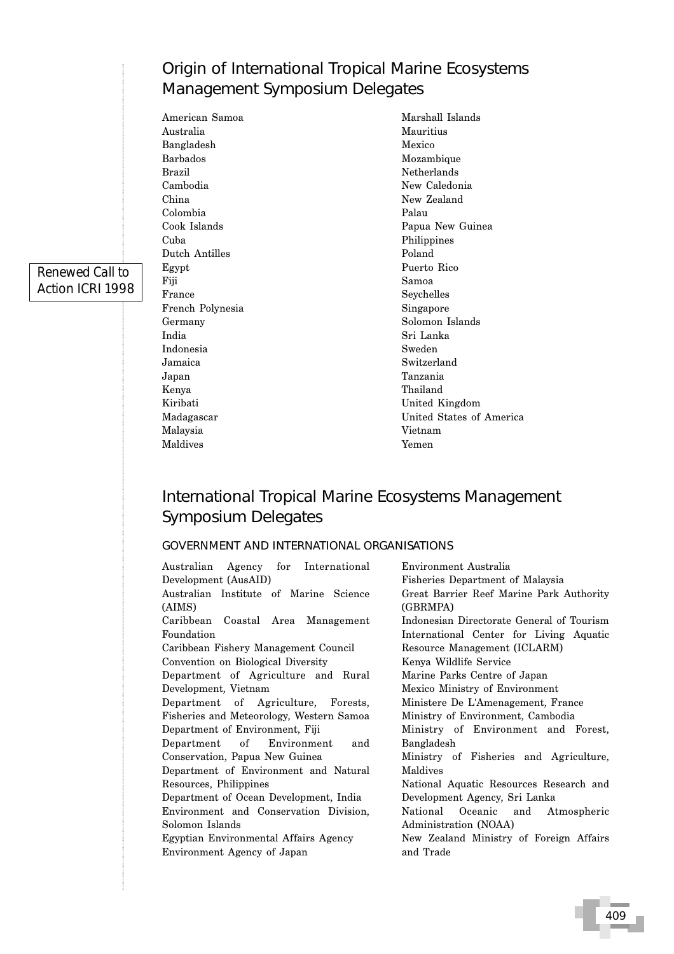## Origin of International Tropical Marine Ecosystems Management Symposium Delegates

American Samoa Australia Bangladesh Barbados Brazil Cambodia China Colombia Cook Islands Cuba Dutch Antilles Egypt Fiji France French Polynesia Germany India Indonesia Jamaica Japan Kenya Kiribati

Madagascar Malaysia Maldives

Marshall Islands Mauritius Mexico Mozambique Netherlands New Caledonia New Zealand Palau Papua New Guinea Philippines Poland Puerto Rico Samoa Seychelles Singapore Solomon Islands Sri Lanka Sweden Switzerland Tanzania Thailand United Kingdom United States of America Vietnam Yemen

## International Tropical Marine Ecosystems Management Symposium Delegates

#### GOVERNMENT AND INTERNATIONAL ORGANISATIONS

Australian Agency for International Development (AusAID) Australian Institute of Marine Science (AIMS) Caribbean Coastal Area Management Foundation Caribbean Fishery Management Council Convention on Biological Diversity Department of Agriculture and Rural Development, Vietnam Department of Agriculture, Forests, Fisheries and Meteorology, Western Samoa Department of Environment, Fiji Department of Environment and Conservation, Papua New Guinea Department of Environment and Natural Resources, Philippines Department of Ocean Development, India Environment and Conservation Division, Solomon Islands Egyptian Environmental Affairs Agency Environment Agency of Japan

Environment Australia Fisheries Department of Malaysia Great Barrier Reef Marine Park Authority (GBRMPA) Indonesian Directorate General of Tourism International Center for Living Aquatic Resource Management (ICLARM) Kenya Wildlife Service Marine Parks Centre of Japan Mexico Ministry of Environment Ministere De L'Amenagement, France Ministry of Environment, Cambodia Ministry of Environment and Forest, Bangladesh Ministry of Fisheries and Agriculture, Maldives National Aquatic Resources Research and Development Agency, Sri Lanka National Oceanic and Atmospheric Administration (NOAA) New Zealand Ministry of Foreign Affairs and Trade

*Renewed Call to Action ICRI 1998*